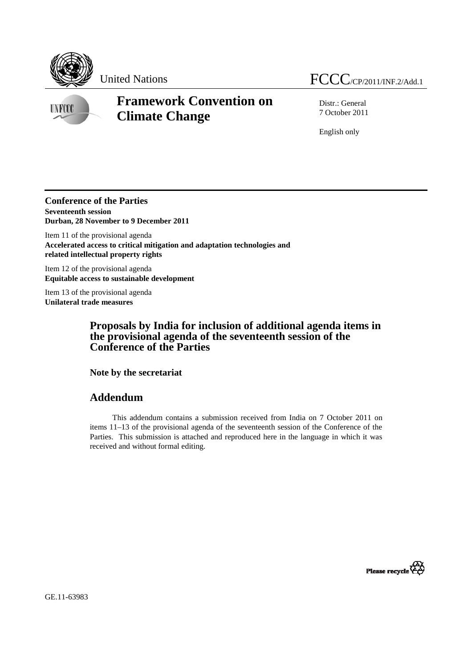



**UNFCCC** 

# **Framework Convention on Climate Change**

Distr.: General 7 October 2011

English only

### **Conference of the Parties Seventeenth session Durban, 28 November to 9 December 2011**

Item 11 of the provisional agenda **Accelerated access to critical mitigation and adaptation technologies and related intellectual property rights** 

Item 12 of the provisional agenda **Equitable access to sustainable development** 

Item 13 of the provisional agenda **Unilateral trade measures** 

# **Proposals by India for inclusion of additional agenda items in the provisional agenda of the seventeenth session of the Conference of the Parties**

**Note by the secretariat** 

# **Addendum**

This addendum contains a submission received from India on 7 October 2011 on items 11–13 of the provisional agenda of the seventeenth session of the Conference of the Parties. This submission is attached and reproduced here in the language in which it was received and without formal editing.



GE.11-63983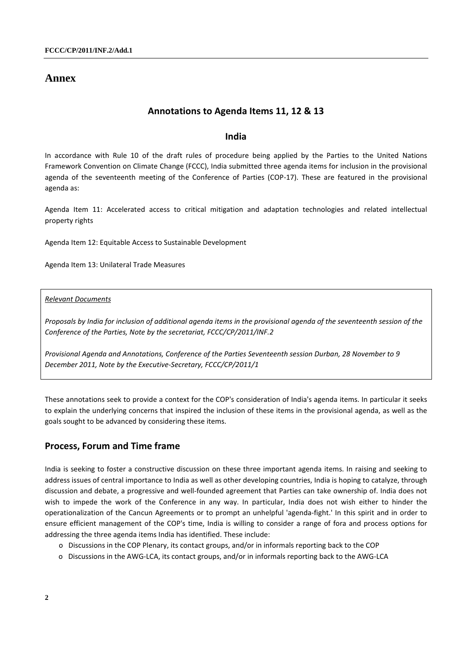# **Annex**

### **Annotations to Agenda Items 11, 12 & 13**

### **India**

In accordance with Rule 10 of the draft rules of procedure being applied by the Parties to the United Nations Framework Convention on Climate Change (FCCC), India submitted three agenda items for inclusion in the provisional agenda of the seventeenth meeting of the Conference of Parties (COP-17). These are featured in the provisional agenda as:

Agenda Item 11: Accelerated access to critical mitigation and adaptation technologies and related intellectual property rights

Agenda Item 12: Equitable Access to Sustainable Development

Agenda Item 13: Unilateral Trade Measures

*Relevant Documents*

*Proposals by India for inclusion of additional agenda items in the provisional agenda of the seventeenth session of the Conference of the Parties, Note by the secretariat, FCCC/CP/2011/INF.2* 

*Provisional Agenda and Annotations, Conference of the Parties Seventeenth session Durban, 28 November to 9 December 2011, Note by the Executive-Secretary, FCCC/CP/2011/1* 

These annotations seek to provide a context for the COP's consideration of India's agenda items. In particular it seeks to explain the underlying concerns that inspired the inclusion of these items in the provisional agenda, as well as the goals sought to be advanced by considering these items.

# **Process, Forum and Time frame**

India is seeking to foster a constructive discussion on these three important agenda items. In raising and seeking to address issues of central importance to India as well as other developing countries, India is hoping to catalyze, through discussion and debate, a progressive and well-founded agreement that Parties can take ownership of. India does not wish to impede the work of the Conference in any way. In particular, India does not wish either to hinder the operationalization of the Cancun Agreements or to prompt an unhelpful 'agenda-fight.' In this spirit and in order to ensure efficient management of the COP's time, India is willing to consider a range of fora and process options for addressing the three agenda items India has identified. These include:

- o Discussions in the COP Plenary, its contact groups, and/or in informals reporting back to the COP
- o Discussions in the AWG-LCA, its contact groups, and/or in informals reporting back to the AWG-LCA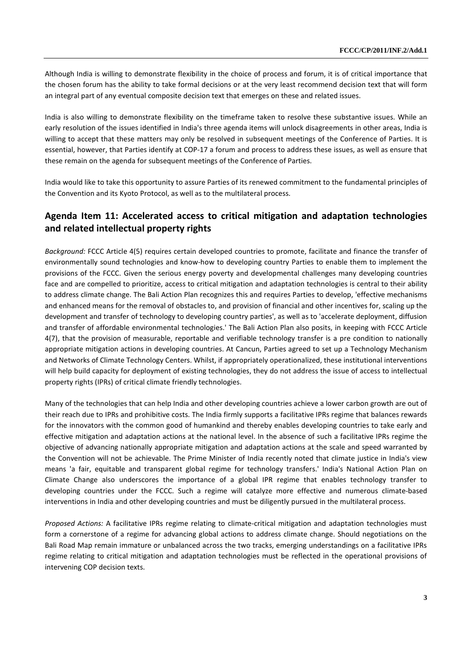Although India is willing to demonstrate flexibility in the choice of process and forum, it is of critical importance that the chosen forum has the ability to take formal decisions or at the very least recommend decision text that will form an integral part of any eventual composite decision text that emerges on these and related issues.

India is also willing to demonstrate flexibility on the timeframe taken to resolve these substantive issues. While an early resolution of the issues identified in India's three agenda items will unlock disagreements in other areas, India is willing to accept that these matters may only be resolved in subsequent meetings of the Conference of Parties. It is essential, however, that Parties identify at COP-17 a forum and process to address these issues, as well as ensure that these remain on the agenda for subsequent meetings of the Conference of Parties.

India would like to take this opportunity to assure Parties of its renewed commitment to the fundamental principles of the Convention and its Kyoto Protocol, as well as to the multilateral process.

# **Agenda Item 11: Accelerated access to critical mitigation and adaptation technologies and related intellectual property rights**

*Background:* FCCC Article 4(5) requires certain developed countries to promote, facilitate and finance the transfer of environmentally sound technologies and know-how to developing country Parties to enable them to implement the provisions of the FCCC. Given the serious energy poverty and developmental challenges many developing countries face and are compelled to prioritize, access to critical mitigation and adaptation technologies is central to their ability to address climate change. The Bali Action Plan recognizes this and requires Parties to develop, 'effective mechanisms and enhanced means for the removal of obstacles to, and provision of financial and other incentives for, scaling up the development and transfer of technology to developing country parties', as well as to 'accelerate deployment, diffusion and transfer of affordable environmental technologies.' The Bali Action Plan also posits, in keeping with FCCC Article 4(7), that the provision of measurable, reportable and verifiable technology transfer is a pre condition to nationally appropriate mitigation actions in developing countries. At Cancun, Parties agreed to set up a Technology Mechanism and Networks of Climate Technology Centers. Whilst, if appropriately operationalized, these institutional interventions will help build capacity for deployment of existing technologies, they do not address the issue of access to intellectual property rights (IPRs) of critical climate friendly technologies.

Many of the technologies that can help India and other developing countries achieve a lower carbon growth are out of their reach due to IPRs and prohibitive costs. The India firmly supports a facilitative IPRs regime that balances rewards for the innovators with the common good of humankind and thereby enables developing countries to take early and effective mitigation and adaptation actions at the national level. In the absence of such a facilitative IPRs regime the objective of advancing nationally appropriate mitigation and adaptation actions at the scale and speed warranted by the Convention will not be achievable. The Prime Minister of India recently noted that climate justice in India's view means 'a fair, equitable and transparent global regime for technology transfers.' India's National Action Plan on Climate Change also underscores the importance of a global IPR regime that enables technology transfer to developing countries under the FCCC. Such a regime will catalyze more effective and numerous climate-based interventions in India and other developing countries and must be diligently pursued in the multilateral process.

*Proposed Actions:* A facilitative IPRs regime relating to climate-critical mitigation and adaptation technologies must form a cornerstone of a regime for advancing global actions to address climate change. Should negotiations on the Bali Road Map remain immature or unbalanced across the two tracks, emerging understandings on a facilitative IPRs regime relating to critical mitigation and adaptation technologies must be reflected in the operational provisions of intervening COP decision texts.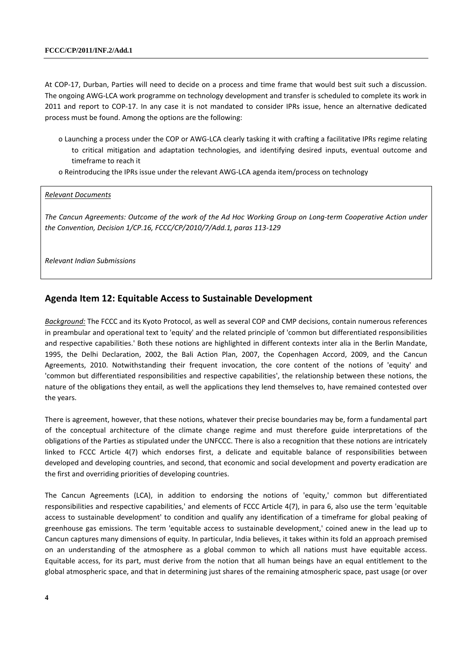At COP-17, Durban, Parties will need to decide on a process and time frame that would best suit such a discussion. The ongoing AWG-LCA work programme on technology development and transfer is scheduled to complete its work in 2011 and report to COP-17. In any case it is not mandated to consider IPRs issue, hence an alternative dedicated process must be found. Among the options are the following:

- o Launching a process under the COP or AWG-LCA clearly tasking it with crafting a facilitative IPRs regime relating to critical mitigation and adaptation technologies, and identifying desired inputs, eventual outcome and timeframe to reach it
- o Reintroducing the IPRs issue under the relevant AWG-LCA agenda item/process on technology

#### *Relevant Documents*

*The Cancun Agreements: Outcome of the work of the Ad Hoc Working Group on Long-term Cooperative Action under the Convention, Decision 1/CP.16, FCCC/CP/2010/7/Add.1, paras 113-129* 

*Relevant Indian Submissions* 

### **Agenda Item 12: Equitable Access to Sustainable Development**

*Background:* The FCCC and its Kyoto Protocol, as well as several COP and CMP decisions, contain numerous references in preambular and operational text to 'equity' and the related principle of 'common but differentiated responsibilities and respective capabilities.' Both these notions are highlighted in different contexts inter alia in the Berlin Mandate, 1995, the Delhi Declaration, 2002, the Bali Action Plan, 2007, the Copenhagen Accord, 2009, and the Cancun Agreements, 2010. Notwithstanding their frequent invocation, the core content of the notions of 'equity' and 'common but differentiated responsibilities and respective capabilities', the relationship between these notions, the nature of the obligations they entail, as well the applications they lend themselves to, have remained contested over the years.

There is agreement, however, that these notions, whatever their precise boundaries may be, form a fundamental part of the conceptual architecture of the climate change regime and must therefore guide interpretations of the obligations of the Parties as stipulated under the UNFCCC. There is also a recognition that these notions are intricately linked to FCCC Article 4(7) which endorses first, a delicate and equitable balance of responsibilities between developed and developing countries, and second, that economic and social development and poverty eradication are the first and overriding priorities of developing countries.

The Cancun Agreements (LCA), in addition to endorsing the notions of 'equity,' common but differentiated responsibilities and respective capabilities,' and elements of FCCC Article 4(7), in para 6, also use the term 'equitable access to sustainable development' to condition and qualify any identification of a timeframe for global peaking of greenhouse gas emissions. The term 'equitable access to sustainable development,' coined anew in the lead up to Cancun captures many dimensions of equity. In particular, India believes, it takes within its fold an approach premised on an understanding of the atmosphere as a global common to which all nations must have equitable access. Equitable access, for its part, must derive from the notion that all human beings have an equal entitlement to the global atmospheric space, and that in determining just shares of the remaining atmospheric space, past usage (or over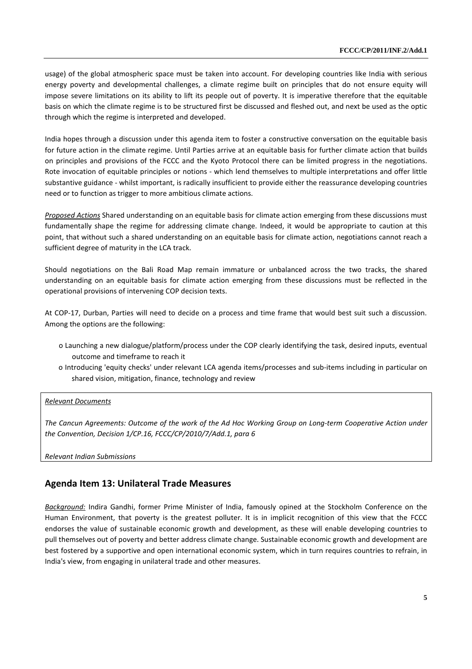usage) of the global atmospheric space must be taken into account. For developing countries like India with serious energy poverty and developmental challenges, a climate regime built on principles that do not ensure equity will impose severe limitations on its ability to lift its people out of poverty. It is imperative therefore that the equitable basis on which the climate regime is to be structured first be discussed and fleshed out, and next be used as the optic through which the regime is interpreted and developed.

India hopes through a discussion under this agenda item to foster a constructive conversation on the equitable basis for future action in the climate regime. Until Parties arrive at an equitable basis for further climate action that builds on principles and provisions of the FCCC and the Kyoto Protocol there can be limited progress in the negotiations. Rote invocation of equitable principles or notions - which lend themselves to multiple interpretations and offer little substantive guidance - whilst important, is radically insufficient to provide either the reassurance developing countries need or to function as trigger to more ambitious climate actions.

*Proposed Actions* Shared understanding on an equitable basis for climate action emerging from these discussions must fundamentally shape the regime for addressing climate change. Indeed, it would be appropriate to caution at this point, that without such a shared understanding on an equitable basis for climate action, negotiations cannot reach a sufficient degree of maturity in the LCA track.

Should negotiations on the Bali Road Map remain immature or unbalanced across the two tracks, the shared understanding on an equitable basis for climate action emerging from these discussions must be reflected in the operational provisions of intervening COP decision texts.

At COP-17, Durban, Parties will need to decide on a process and time frame that would best suit such a discussion. Among the options are the following:

- o Launching a new dialogue/platform/process under the COP clearly identifying the task, desired inputs, eventual outcome and timeframe to reach it
- o Introducing 'equity checks' under relevant LCA agenda items/processes and sub-items including in particular on shared vision, mitigation, finance, technology and review

#### *Relevant Documents*

*The Cancun Agreements: Outcome of the work of the Ad Hoc Working Group on Long-term Cooperative Action under the Convention, Decision 1/CP.16, FCCC/CP/2010/7/Add.1, para 6* 

*Relevant Indian Submissions* 

# **Agenda Item 13: Unilateral Trade Measures**

*Background:* Indira Gandhi, former Prime Minister of India, famously opined at the Stockholm Conference on the Human Environment, that poverty is the greatest polluter. It is in implicit recognition of this view that the FCCC endorses the value of sustainable economic growth and development, as these will enable developing countries to pull themselves out of poverty and better address climate change. Sustainable economic growth and development are best fostered by a supportive and open international economic system, which in turn requires countries to refrain, in India's view, from engaging in unilateral trade and other measures.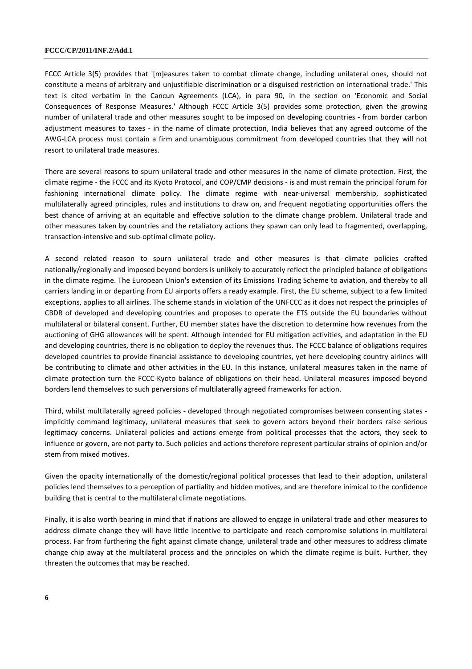#### **FCCC/CP/2011/INF.2/Add.1**

FCCC Article 3(5) provides that '[m]easures taken to combat climate change, including unilateral ones, should not constitute a means of arbitrary and unjustifiable discrimination or a disguised restriction on international trade.' This text is cited verbatim in the Cancun Agreements (LCA), in para 90, in the section on 'Economic and Social Consequences of Response Measures.' Although FCCC Article 3(5) provides some protection, given the growing number of unilateral trade and other measures sought to be imposed on developing countries - from border carbon adjustment measures to taxes - in the name of climate protection, India believes that any agreed outcome of the AWG-LCA process must contain a firm and unambiguous commitment from developed countries that they will not resort to unilateral trade measures.

There are several reasons to spurn unilateral trade and other measures in the name of climate protection. First, the climate regime - the FCCC and its Kyoto Protocol, and COP/CMP decisions - is and must remain the principal forum for fashioning international climate policy. The climate regime with near-universal membership, sophisticated multilaterally agreed principles, rules and institutions to draw on, and frequent negotiating opportunities offers the best chance of arriving at an equitable and effective solution to the climate change problem. Unilateral trade and other measures taken by countries and the retaliatory actions they spawn can only lead to fragmented, overlapping, transaction-intensive and sub-optimal climate policy.

A second related reason to spurn unilateral trade and other measures is that climate policies crafted nationally/regionally and imposed beyond borders is unlikely to accurately reflect the principled balance of obligations in the climate regime. The European Union's extension of its Emissions Trading Scheme to aviation, and thereby to all carriers landing in or departing from EU airports offers a ready example. First, the EU scheme, subject to a few limited exceptions, applies to all airlines. The scheme stands in violation of the UNFCCC as it does not respect the principles of CBDR of developed and developing countries and proposes to operate the ETS outside the EU boundaries without multilateral or bilateral consent. Further, EU member states have the discretion to determine how revenues from the auctioning of GHG allowances will be spent. Although intended for EU mitigation activities, and adaptation in the EU and developing countries, there is no obligation to deploy the revenues thus. The FCCC balance of obligations requires developed countries to provide financial assistance to developing countries, yet here developing country airlines will be contributing to climate and other activities in the EU. In this instance, unilateral measures taken in the name of climate protection turn the FCCC-Kyoto balance of obligations on their head. Unilateral measures imposed beyond borders lend themselves to such perversions of multilaterally agreed frameworks for action.

Third, whilst multilaterally agreed policies - developed through negotiated compromises between consenting states implicitly command legitimacy, unilateral measures that seek to govern actors beyond their borders raise serious legitimacy concerns. Unilateral policies and actions emerge from political processes that the actors, they seek to influence or govern, are not party to. Such policies and actions therefore represent particular strains of opinion and/or stem from mixed motives.

Given the opacity internationally of the domestic/regional political processes that lead to their adoption, unilateral policies lend themselves to a perception of partiality and hidden motives, and are therefore inimical to the confidence building that is central to the multilateral climate negotiations.

Finally, it is also worth bearing in mind that if nations are allowed to engage in unilateral trade and other measures to address climate change they will have little incentive to participate and reach compromise solutions in multilateral process. Far from furthering the fight against climate change, unilateral trade and other measures to address climate change chip away at the multilateral process and the principles on which the climate regime is built. Further, they threaten the outcomes that may be reached.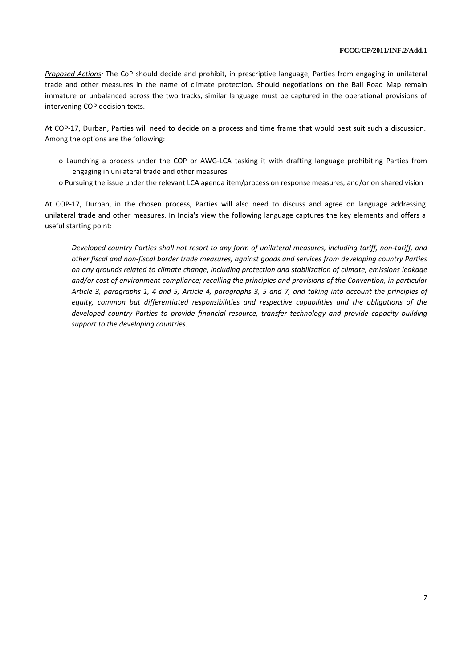*Proposed Actions:* The CoP should decide and prohibit, in prescriptive language, Parties from engaging in unilateral trade and other measures in the name of climate protection. Should negotiations on the Bali Road Map remain immature or unbalanced across the two tracks, similar language must be captured in the operational provisions of intervening COP decision texts.

At COP-17, Durban, Parties will need to decide on a process and time frame that would best suit such a discussion. Among the options are the following:

- o Launching a process under the COP or AWG-LCA tasking it with drafting language prohibiting Parties from engaging in unilateral trade and other measures
- o Pursuing the issue under the relevant LCA agenda item/process on response measures, and/or on shared vision

At COP-17, Durban, in the chosen process, Parties will also need to discuss and agree on language addressing unilateral trade and other measures. In India's view the following language captures the key elements and offers a useful starting point:

*Developed country Parties shall not resort to any form of unilateral measures, including tariff, non-tariff, and other fiscal and non-fiscal border trade measures, against goods and services from developing country Parties on any grounds related to climate change, including protection and stabilization of climate, emissions leakage and/or cost of environment compliance; recalling the principles and provisions of the Convention, in particular Article 3, paragraphs 1, 4 and 5, Article 4, paragraphs 3, 5 and 7, and taking into account the principles of equity, common but differentiated responsibilities and respective capabilities and the obligations of the developed country Parties to provide financial resource, transfer technology and provide capacity building support to the developing countries.*